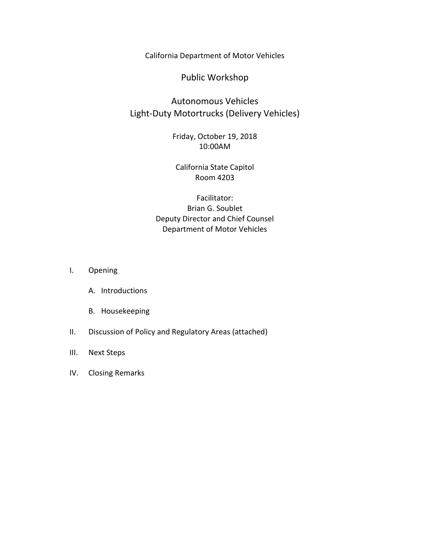California Department of Motor Vehicles

Public Workshop

## Autonomous Vehicles Light-Duty Motortrucks (Delivery Vehicles)

Friday, October 19, 2018 10:00AM

## California State Capitol Room 4203

Facilitator: Brian G. Soublet Deputy Director and Chief Counsel Department of Motor Vehicles

- I. Opening
	- A. Introductions
	- B. Housekeeping
- II. Discussion of Policy and Regulatory Areas (attached)
- III. Next Steps
- IV. Closing Remarks